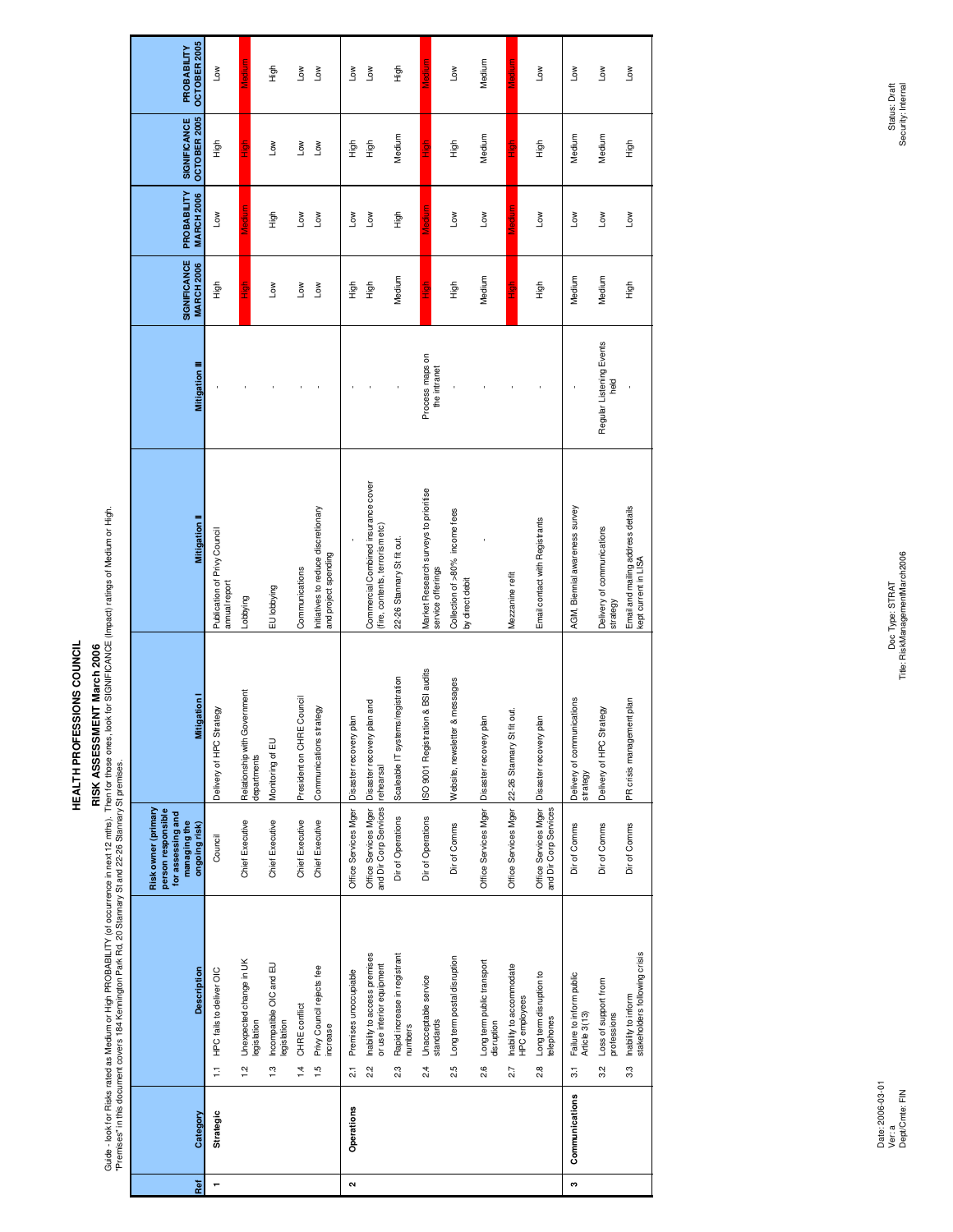## **RISK ASSESSMENT March 2006**

RISK ASSESSMENT March 2006 (http://diocourrence.in.next 12.mt/s). Then for those ones, look for SIGNIFICANCE (impact) ratings of Medium or Hight.<br>"Premises" in this document covers 184 Kennington Park Rd, 20 Stannary St an Guide - look for Risks rated as Medium or High PROBABILITY (of occurrence in next 12 mths). Then for those ones, look for SIGNIFICANCE (Impact) ratings of Medium or High.

| Ref                                                                                             |                                               |                                                         |                                                       |                             |                                                             | $\sim$                                        |                                                                        |                                                |                                                            |                                                   |                                                 |                                                  |                                               | c                                                           |                                                      |                                                             |
|-------------------------------------------------------------------------------------------------|-----------------------------------------------|---------------------------------------------------------|-------------------------------------------------------|-----------------------------|-------------------------------------------------------------|-----------------------------------------------|------------------------------------------------------------------------|------------------------------------------------|------------------------------------------------------------|---------------------------------------------------|-------------------------------------------------|--------------------------------------------------|-----------------------------------------------|-------------------------------------------------------------|------------------------------------------------------|-------------------------------------------------------------|
| Category                                                                                        | Strategic                                     |                                                         |                                                       |                             |                                                             | Operations                                    |                                                                        |                                                |                                                            |                                                   |                                                 |                                                  |                                               | Communications                                              |                                                      |                                                             |
| Description                                                                                     | HPC fails to deliver OIC<br>Ę                 | Unexpected change in UK<br>legislation<br>$\frac{1}{2}$ | Incompatible OIC and EU<br>legislation<br>$\ddot{.}3$ | CHRE conflict<br>$\ddot{4}$ | Privy Council rejects fee<br>increase<br>$\frac{10}{10}$    | Premises unoccupiable<br>$\overline{\alpha}$  | Inability to access premises<br>or use interior equipment<br>2.2       | Rapid increase in registrant<br>numbers<br>2.3 | Unacceptable service<br>standards<br>$\frac{4}{2}$         | Long term postal disruption<br>25<br>21           | Long term public transport<br>disruption<br>2.6 | Inability to accommodate<br>HPC employees<br>2.7 | Long term disruption to<br>telephones<br>28   | Failure to inform public<br>Article 3(13)<br>$\overline{3}$ | Loss of support from<br>professions<br>$\frac{2}{3}$ | stakeholders following crisis<br>Inability to inform<br>က္သ |
| Risk owner (primary<br>person responsible<br>for assessing and<br>managing the<br>ongoing risk) | Council                                       | Chief Executive                                         | Chief Executive                                       | Chief Executive             | Chief Executive                                             |                                               | and Dir Corp Services rehearsal<br>Office Services Mger                | Dir of Operations                              | Dir of Operations                                          | Dir of Comms                                      | Office Services Mger                            | Office Services Mger                             | Office Services Mger<br>and Dir Corp Services | Dir of Comms                                                | Dir of Comms                                         | Dir of Comms                                                |
| <b>Mitigation</b>                                                                               | Delivery of HPC Strategy                      | Relationship with Government<br>departments             | Monitoring of EU                                      | President on CHRE Council   | Communications strategy                                     | Office Services Mger   Disaster recovery plan | Disaster recovery plan and                                             | Scaleable IT systems/registration              | SO 9001 Registration & BSI audits                          | & messages<br>Website, newsletter                 | Disaster recovery plan                          | fit out.<br>22-26 Stannary St                    | Jan<br>Disaster recovery p                    | Delivery of communications<br>strategy                      | Delivery of HPC Strategy                             | PR crisis management plan                                   |
| Mitigation I                                                                                    | Publication of Privy Council<br>annual report | Lobbying                                                | EU lobbying                                           | Communications              | Initiatives to reduce discretionary<br>and project spending |                                               | Commercial Combined insurance cover<br>(fire, contents, terrorism etc) | 22-26 Stannary St fit out.                     | Market Research surveys to prioritise<br>service offerings | Collection of >80% income fees<br>by direct debit |                                                 | Mezzanine refit                                  | Email contact with Registrants                | AGM, Biennial awareness survey                              | Delivery of communications<br>strategy               | Email and mailing address details<br>kept current in LISA   |
| <b>Mitigation III</b>                                                                           |                                               |                                                         |                                                       |                             |                                                             |                                               |                                                                        |                                                | Process maps on<br>the intranet                            |                                                   |                                                 |                                                  |                                               |                                                             | Regular Listening Events<br>heid                     |                                                             |
| SIGNIFICANCE<br><b>MARCH 2006</b>                                                               | 与三                                            | 호<br>고                                                  | <b>No</b>                                             | Low                         | <b>Nor</b>                                                  | 自主                                            | tigh                                                                   | Medium                                         | 들<br>고                                                     | tigh                                              | Medium                                          | 들<br>고                                           | tigh                                          | Medium                                                      | Medium                                               | tigh                                                        |
| PROBABILITY<br><b>MARCH 2006</b>                                                                | <b>Nor</b>                                    | <b>Tuipal</b>                                           | High                                                  | Low                         | Low                                                         | Low                                           | Low                                                                    | High                                           |                                                            | Mo⊓                                               | <b>No</b>                                       | legiun                                           | Low                                           | Low                                                         | <b>NOT</b>                                           | <b>Nor</b>                                                  |
| OCTOBER 2005<br><b>SIGNIFICANCE</b>                                                             | も<br>王                                        | .<br>고구<br>エ                                            | <b>NOT</b>                                            | $\overline{100}$            | $\sum_{i=1}^{n}$                                            | High                                          | High                                                                   | Medium                                         | 들<br>고                                                     | High                                              | Medium                                          | ig<br>E                                          | figh                                          | Medium                                                      | Medium                                               | $\frac{5}{10}$                                              |
| OCTOBER 2005<br>PROBABILITY                                                                     | $\mathsf{Low}$                                | lediur                                                  | High                                                  | Low                         | <b>Nor</b>                                                  | Low                                           | Low                                                                    | High                                           | lediur                                                     | Low                                               | Medium                                          | Medium                                           | Low                                           | Low                                                         | Low                                                  | Low                                                         |
|                                                                                                 |                                               |                                                         |                                                       |                             |                                                             |                                               |                                                                        |                                                |                                                            |                                                   |                                                 |                                                  |                                               |                                                             |                                                      |                                                             |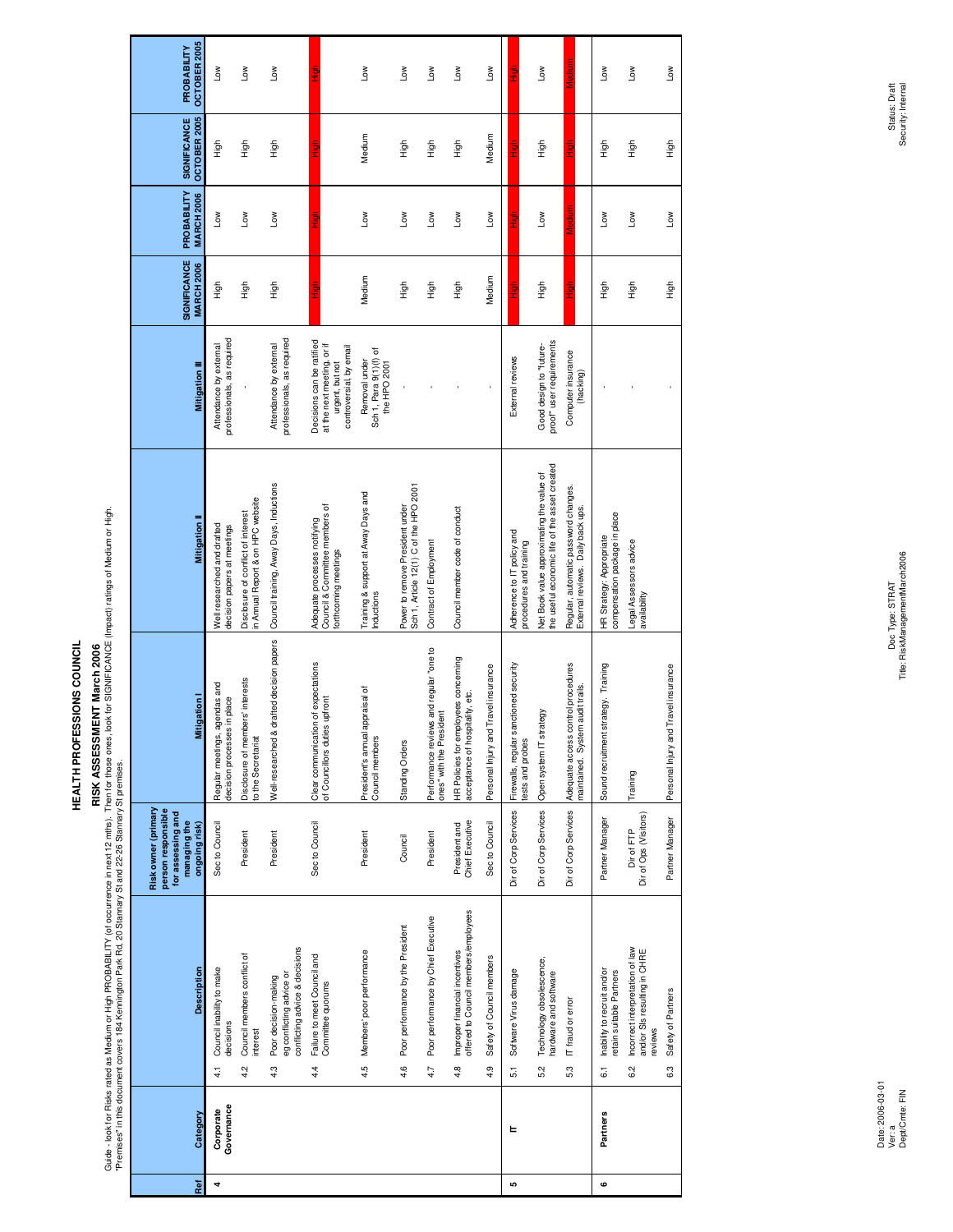### **RISK ASSESSMENT March 2006**

RISK ASSESSMENT March 2006. The Construction of the March 12 miles. The November of SCESSMENT March 2006<br>"Premises" in this document covers 184 Kennington Park Rd, 20 Stanrary St and 22-26 Stannary St premises. ones, look Guide - look for Risks rated as Medium or High PROBABILITY (of occurrence in next 12 mths). Then for those ones, look for SIGNIFICANCE (Impact) ratings of Medium or High.

| OCTOBER 2005<br>PROBABILITY                                                                     | Low                                                                  | Low                                                                     | $\mathsf{Low}$                                                                            |                                                                                                       | Low                                                    | Low                                                                       | Low                                                                 | Γow                                                                          | Low                                  | $rac{5}{1}$                                                | Tοm                                                                                        | ledum                                                                     | Low                                                                         | Low                                                                               | Low                                  |
|-------------------------------------------------------------------------------------------------|----------------------------------------------------------------------|-------------------------------------------------------------------------|-------------------------------------------------------------------------------------------|-------------------------------------------------------------------------------------------------------|--------------------------------------------------------|---------------------------------------------------------------------------|---------------------------------------------------------------------|------------------------------------------------------------------------------|--------------------------------------|------------------------------------------------------------|--------------------------------------------------------------------------------------------|---------------------------------------------------------------------------|-----------------------------------------------------------------------------|-----------------------------------------------------------------------------------|--------------------------------------|
| OCTOBER 2005<br><b>SIGNIFICANCE</b>                                                             | $\frac{6}{10}$                                                       | も<br>エ                                                                  | も<br>エ                                                                                    | 。<br>三                                                                                                | Medium                                                 | High                                                                      | High                                                                | も<br>王                                                                       | Medium                               | 들<br>그                                                     | も<br>王                                                                                     | 들<br>도                                                                    | High                                                                        | $\frac{5}{10}$                                                                    | High                                 |
| PROBABILITY<br><b>MARCH 2006</b>                                                                | <b>Nor</b>                                                           | Low                                                                     | Low                                                                                       |                                                                                                       | <b>No7</b>                                             | Low                                                                       | Low                                                                 | Low                                                                          | Low                                  | ē                                                          | Low                                                                                        |                                                                           | <b>NOT</b>                                                                  | <b>No7</b>                                                                        | <b>No</b>                            |
| <b>SIGNIFICANCE</b><br><b>MARCH 2006</b>                                                        | 自定                                                                   | .<br>도                                                                  | .<br>도                                                                                    |                                                                                                       | Medium                                                 | 동<br>도                                                                    | High                                                                | 이<br>보                                                                       | Medium                               | ੋ                                                          | .<br>도                                                                                     | <u>a</u><br>I                                                             | 동<br>도                                                                      | 동<br>도                                                                            | 6<br>도                               |
| <b>Mitigation III</b>                                                                           | professionals, as required<br>Attendance by external                 |                                                                         | professionals, as required<br>Attendance by external                                      | Decisions can be ratified<br>at the next meeting, or if<br>controversial, by email<br>urgent, but not | Sch1, Para 9(1)(f) of<br>Removal under<br>the HPO 2001 |                                                                           |                                                                     |                                                                              |                                      | External reviews                                           | proof" user requirements<br>Good design to "future-                                        | Computer insurance<br>(hacking)                                           |                                                                             |                                                                                   |                                      |
| <b>Mitigation</b>                                                                               | Well researched and drafted<br>decision papers at meetings           | in Annual Report & on HPC website<br>Disclosure of conflict of interest | Council training, Away Days, Inductions                                                   | Council & Committee members of<br>Adequate processes notifying<br>forthcoming meetings                | Training & support at Away Days and<br>Inductions      | Sch 1, Article 12(1) C of the HPO 2001<br>Power to remove President under | Contract of Employment                                              | Council member code of conduct                                               |                                      | Adherence to IT policy and<br>procedures and training      | the useful economic life of the asset created<br>Net Book value approximating the value of | Regular, automatic password changes.<br>External reviews. Daily back ups. | compensation package in place<br>HR Strategy: Appropriate                   | Legal Assessors advice<br>availability                                            |                                      |
| Mitigation                                                                                      | agendas and<br>in place<br>Regular meetings, a<br>decision processes | Disclosure of members' interests<br>to the Secretariat                  | Well-researched & drafted decision papers                                                 | Clear communication of expectations<br>of Councillors duties uptront                                  | President's annual appraisal of<br>Council members     | Standing Orders                                                           | Performance reviews and regular "one to<br>ones" with the President | HR Policies for employees concerning<br>acceptance of hospitality, etc.      | Personal Injury and Travel insurance | Firewalls, regular sanctioned security<br>tests and probes | Open system IT strategy                                                                    | Adequate access control procedures<br>maintained. System audit trails.    | strategy. Training<br>Sound recruitment                                     | Training                                                                          | Personal Injury and Travel insurance |
| person responsible<br>Risk owner (primary<br>for assessing and<br>managing the<br>ongoing risk) | Sec to Council                                                       | President                                                               | President                                                                                 | Sec to Council                                                                                        | President                                              | Council                                                                   | President                                                           | Chief Executive<br>President and                                             | Sec to Council                       | Dir of Corp Services                                       | Dir of Corp Services                                                                       | Dir of Corp Services                                                      | Partner Manager                                                             | Dir of Ops (Visitors)<br>Dir of FTP                                               | Partner Manager                      |
| <b>Description</b>                                                                              | Council inability to make<br>decisions<br>4.1                        | Council members conflict of<br>interest<br>4.2                          | conflicting advice & decisions<br>eg conflicting advice or<br>Poor decision-making<br>4.3 | Failure to meet Council and<br>Committee quorums<br>4.4                                               | Members' poor performance<br>4.5                       | Poor performance by the President<br>4.6                                  | Poor performance by Chief Executive<br>4.7                          | offered to Council members/employees<br>Improper financial incentives<br>4.8 | Safety of Council members<br>4.9     | Software Virus damage<br>$\overline{5}$                    | Technology obsolescence,<br>hardware and software<br>5.2                                   | IT fraud or error<br>5.3                                                  | Inability to recruit and/or<br>retain suitable Partners<br>$\overline{6}$ . | Incorrect interpretation of law<br>and/or SIs resulting in CHRE<br>reviews<br>6.2 | Safety of Partners<br>6.3            |
| Category                                                                                        | Governance<br>Corporate                                              |                                                                         |                                                                                           |                                                                                                       |                                                        |                                                                           |                                                                     |                                                                              |                                      | ь                                                          |                                                                                            |                                                                           | Partners                                                                    |                                                                                   |                                      |
| Ref                                                                                             | 4                                                                    |                                                                         |                                                                                           |                                                                                                       |                                                        |                                                                           |                                                                     |                                                                              |                                      | <u>မာ</u>                                                  |                                                                                            |                                                                           | 6                                                                           |                                                                                   |                                      |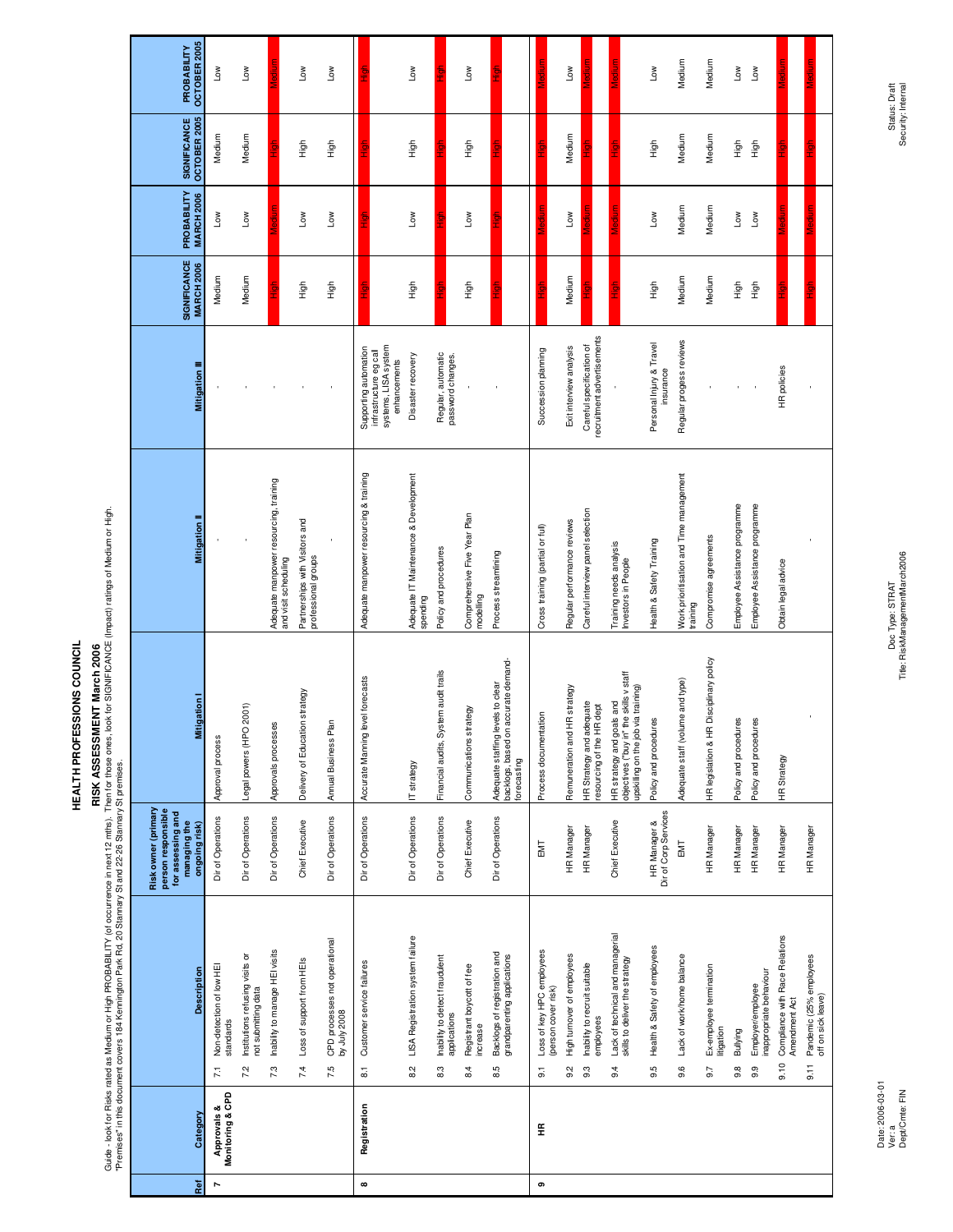# **RISK ASSESSMENT March 2006**

RISK ASSESSMENT March 2006<br>"Premises" in this document covers 194 Kemington Park Rd, 20 Stamence in next 12 mts). Then for those ones, look for SIGNIFICANCE (Impact) ratings of Medium or High.<br>"Premises" in this document c Guide - look for Risks rated as Medium or High PROBABILITY (of occurrence in next 12 mths). Then for those ones, look for SIGNIFICANCE (Impact) ratings of Medium or High.

"Premises" in this document covers 184 Kennington Park Rd, 20 Stannary St and 22-26 Stannary St premises.

| PROBABILITY                                                                    | OCTOBER 2005      | Low                                                     | <b>NOT</b>                                                    |                                                                | Γow                                                   | <b>NOT</b>                                           |                                             |                                                                | Low                                               |                                                       | Γoη                                          |                                                                          |             |                                                                      | Low                               |                                                        |                                                                                                             | <b>NOT</b>                            | Medium                                              | Medium                                       | Low                           | <b>NOT</b>                                          |                                                         |                                                                 |
|--------------------------------------------------------------------------------|-------------------|---------------------------------------------------------|---------------------------------------------------------------|----------------------------------------------------------------|-------------------------------------------------------|------------------------------------------------------|---------------------------------------------|----------------------------------------------------------------|---------------------------------------------------|-------------------------------------------------------|----------------------------------------------|--------------------------------------------------------------------------|-------------|----------------------------------------------------------------------|-----------------------------------|--------------------------------------------------------|-------------------------------------------------------------------------------------------------------------|---------------------------------------|-----------------------------------------------------|----------------------------------------------|-------------------------------|-----------------------------------------------------|---------------------------------------------------------|-----------------------------------------------------------------|
| SIGNIFICANCE                                                                   | OCTOBER 2005      | Medium                                                  | Medium                                                        |                                                                | High                                                  | High                                                 |                                             |                                                                | High                                              |                                                       | -<br>三<br>王                                  |                                                                          |             |                                                                      | Medium                            |                                                        |                                                                                                             | 高王                                    | Medium                                              | Medium                                       | High                          | High                                                |                                                         |                                                                 |
| PROBABILITY                                                                    | <b>MARCH 2006</b> | Low                                                     | Μoη                                                           |                                                                | Μoη                                                   | Μoη                                                  |                                             |                                                                | Low                                               |                                                       | Low                                          |                                                                          |             |                                                                      | <b>MOT</b>                        |                                                        |                                                                                                             | Low                                   | Medium                                              | Medium                                       | <b>No7</b>                    | ιοw                                                 |                                                         |                                                                 |
| SIGNIFICANCE                                                                   | <b>MARCH 2006</b> | Medium                                                  | Medium                                                        |                                                                | tigh                                                  | tigh                                                 |                                             |                                                                | tigh                                              |                                                       | 이<br>도                                       |                                                                          |             |                                                                      | Medium                            |                                                        |                                                                                                             | .<br>도                                | Medium                                              | Medium                                       | tigh                          | tigh                                                |                                                         |                                                                 |
|                                                                                | Mitigation III    |                                                         |                                                               |                                                                |                                                       |                                                      | Supporting automation                       | systems, LISA system<br>infrastructure eg call<br>enhancements | Disaster recovery                                 | Regular, automatic<br>password changes.               |                                              |                                                                          |             | Succession planning                                                  | Exit interview analysis           | recruitment advertisements<br>Careful specification of |                                                                                                             | Personal Injury & Travel<br>insurance | Regular progess reviews                             |                                              |                               |                                                     | HR policies                                             |                                                                 |
|                                                                                | Mitigation II     |                                                         |                                                               | Adequate manpower resourcing, training<br>and visit scheduling | Partnerships with Visitors and<br>professional groups |                                                      | Adequate manpower resourcing & training     |                                                                | Adequate IT Maintenance & Development<br>spending | Policy and procedures                                 | Comprehensive Five Year Plan<br>modelling    | Process streamlining                                                     |             | Cross training (partial or full)                                     | Regular performance reviews       | Careful interview panel selection                      | Training needs analysis<br>Investors in People                                                              | Health & Safety Training              | Work prioritisation and Time management<br>training | Compromise agreements                        | Employee Assistance programme | Employee Assistance programme                       | Obtain legal advice                                     |                                                                 |
|                                                                                | <b>Mitigation</b> | Approval process                                        | Legal powers (HPO 2001)                                       | Approvals processes                                            | Delivery of Education strategy                        | <u>lar</u><br>Annual Business P                      | level forecasts<br>Accurate Manning         |                                                                | IT strategy                                       | Financial audits, System audit trails                 | Communications strategy                      | Adequate staffing levels to clear<br>backlogs, based on accurate demand- | forecasting | Process documentation                                                | HR strategy<br>Remuneration and   | HR Strategy and adequate<br>resourcing of the HR dept  | objectives ("buy in" the skills v staff<br>upskilling on the job via training)<br>HR strategy and goals and | Policy and procedures                 | Adequate staff (volume and type)                    | HR legislation & HR Disciplinary policy      | Policy and procedures         | Policy and procedures                               | <b>HR</b> Strategy                                      |                                                                 |
| Risk owner (primary<br>person responsible<br>for assessing and<br>managing the | ongoing risk)     | Dir of Operations                                       | Dir of Operations                                             | Dir of Operations                                              | Chief Executive                                       | Dir of Operations                                    | Dir of Operations                           |                                                                | Dir of Operations                                 | Dir of Operations                                     | Chief Executive                              | Dir of Operations                                                        |             | EMT                                                                  | HR Manager                        | HR Manager                                             | Chief Executive                                                                                             | Dir of Corp Services<br>HR Manager &  | EMT                                                 | HR Manager                                   | HR Manager                    | HR Manager                                          | HR Manager                                              | HR Manager                                                      |
|                                                                                | Description       | Non-detection of low HE<br>standards<br>$\overline{7}1$ | Institutions refusing visits or<br>not submitting data<br>7.2 | Inability to manage HEI visits<br>7.3                          | Loss of support from HEIs<br>7.4                      | CPD processes not operational<br>by July 2008<br>7.5 | Customer service failures<br>$\overline{8}$ |                                                                | LISA Registration system failure<br>$\frac{2}{8}$ | Inability to detect fraudulent<br>applications<br>8.3 | Registrant boycott of fee<br>increase<br>8.4 | Backlogs of registration and<br>grandparenting applications<br>8.5       |             | Loss of key HPC employees<br>(person cover risk)<br>$\overline{9}$ . | High turnover of employees<br>9.2 | Inability to recruit suitable<br>employees<br>9.3      | Lack of technical and managerial<br>skills to deliver the strategy<br>9.4                                   | Health & Safety of employees<br>9.5   | Lack of work/home balance<br>9.6                    | Ex-employee termination<br>litigation<br>9.7 | Bullying<br>$9.\overline{8}$  | inappropriate behaviour<br>Employer/employee<br>9.9 | Compliance with Race Relations<br>Amendment Act<br>9.10 | Pandemic (25% employees<br>off on sick leave)<br>$\overline{5}$ |
|                                                                                | Category          | Monitoring & CPD<br>Approvals &                         |                                                               |                                                                |                                                       |                                                      | Registration                                |                                                                |                                                   |                                                       |                                              |                                                                          |             | €                                                                    |                                   |                                                        |                                                                                                             |                                       |                                                     |                                              |                               |                                                     |                                                         |                                                                 |
|                                                                                | Ref               | r                                                       |                                                               |                                                                |                                                       |                                                      | $\infty$                                    |                                                                |                                                   |                                                       |                                              |                                                                          |             | თ                                                                    |                                   |                                                        |                                                                                                             |                                       |                                                     |                                              |                               |                                                     |                                                         |                                                                 |

Doc Type: STRAT<br>Tite: RiskManagementMarch2006 Title: RiskManagementMarch2006 Doc Type: STRAT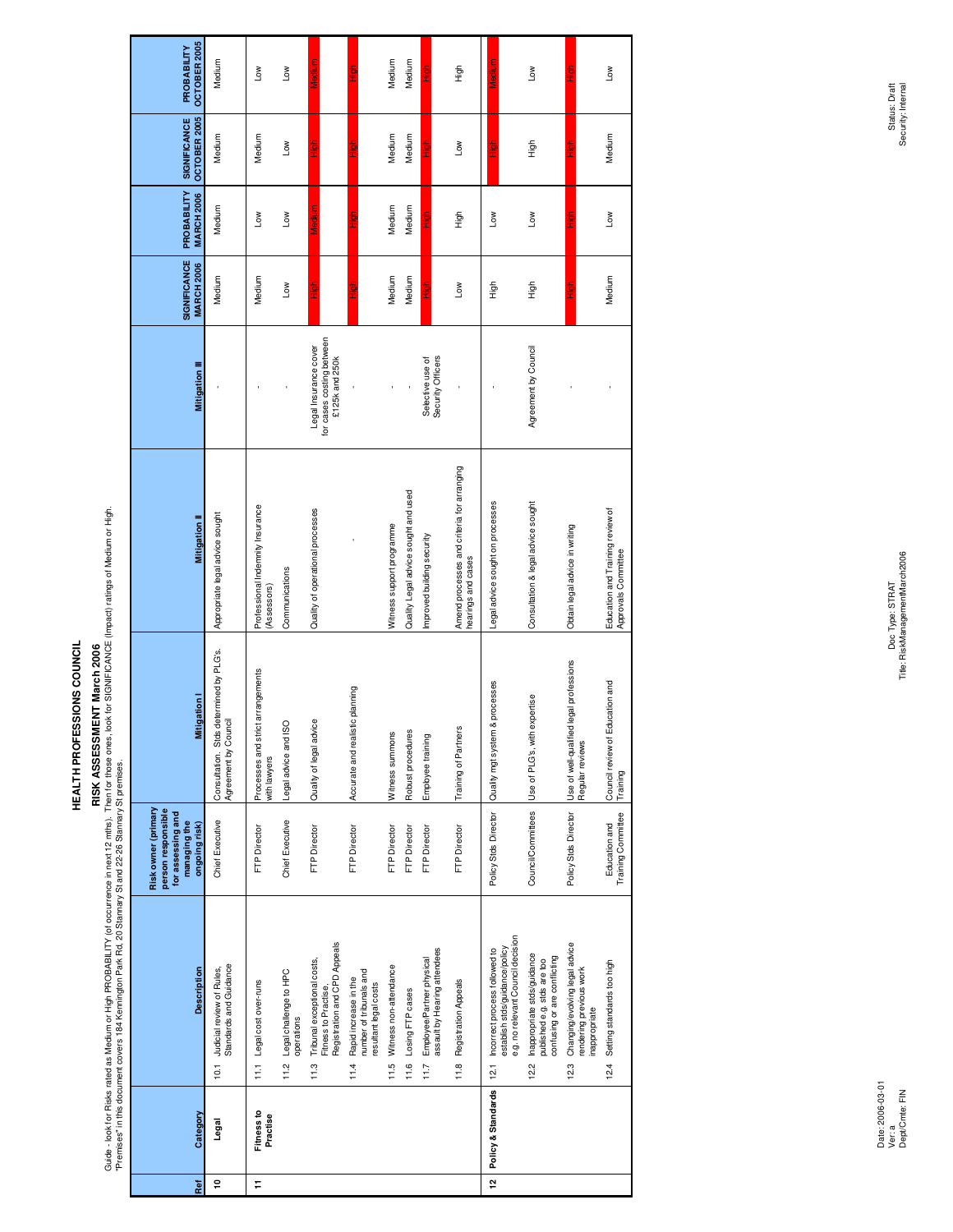## **RISK ASSESSMENT March 2006**

RISK ASSESSMENT March 2006 (http://diocourrence.in.next 12.mt/s). Then for those ones, look for SIGNIFICANCE (impact) ratings of Medium or Hight.<br>"Premises" in this document covers 184 Kennington Park Rd, 20 Stannary St an Guide - look for Risks rated as Medium or High PROBABILITY (of occurrence in next 12 mths). Then for those ones, look for SIGNIFICANCE (Impact) ratings of Medium or High.

| Ref           | Category               | <b>Description</b>                                                                                        | Risk owner (primary<br>person responsible<br>for assessing and<br>managing the<br>ongoing risk) | <b>Mitigation</b>                                               | <b>Mitigation II</b>                                             | <b>Mitigation III</b>                                                | SIGNIFICANCE<br><b>MARCH 2006</b> | PROBABILITY<br><b>MARCH 2006</b> | SIGNIFICANCE<br>OCTOBER 2005 | OCTOBER 2005<br>PROBABILITY |
|---------------|------------------------|-----------------------------------------------------------------------------------------------------------|-------------------------------------------------------------------------------------------------|-----------------------------------------------------------------|------------------------------------------------------------------|----------------------------------------------------------------------|-----------------------------------|----------------------------------|------------------------------|-----------------------------|
| ę             | Legal                  | Standards and Guidance<br>10.1 Judicial review of Rules,                                                  | Chief Executive                                                                                 | Consultation. Stos determined by PLG's.<br>Agreement by Council | Appropriate legal advice sought                                  |                                                                      | Medium                            | Medium                           | Medium                       | Medium                      |
| F             | Fitness to<br>Practise | 11.1 Legal cost over-runs                                                                                 | <b>FTP Director</b>                                                                             | arrangements<br>Processes and strict<br>with lawyers            | Professional Indemnity Insurance<br>(Assessors)                  |                                                                      | Medium                            | Low                              | Medium                       | $\overline{\phantom{0}}$    |
|               |                        | 11.2 Legal challenge to HPC<br>operations                                                                 | Chief Executive                                                                                 | Legal advice and ISO                                            | Communications                                                   |                                                                      | Low                               | ιοw                              | Low                          | Low                         |
|               |                        | Registration and CPD Appeals<br>Tribunal exceptional costs,<br>Fitness to Practise,<br>11.3               | <b>FTP Director</b>                                                                             | Quality of legal advice                                         | Quality of operational processes                                 | for cases costing between<br>Legal Insurance cover<br>£125k and 250k | 台工                                | Medium                           | ight<br>E                    | Medium                      |
|               |                        | number of tribunals and<br>Rapid increase in the<br>resultant legal costs<br>11.4                         | <b>FTP Director</b>                                                                             | Accurate and realistic planning                                 |                                                                  |                                                                      | 들<br>도                            |                                  | <u>Sar</u>                   | <u>S</u><br>E               |
|               |                        | 11.5 Witness non-attendance                                                                               | <b>FTP Director</b>                                                                             | Witness summons                                                 | Witness support programme                                        |                                                                      | Medium                            | Medium                           | Medium                       | Medium                      |
|               |                        | 11.6 Losing FTP cases                                                                                     | <b>FTP Director</b>                                                                             | Robust procedures                                               | Quality Legal advice sought and used                             |                                                                      | Medium                            | Medium                           | Medium                       | Medium                      |
|               |                        | assault by Hearing attendees<br>11.7 Employee/Partner physical                                            | <b>FTP Director</b>                                                                             | Employee training                                               | Improved building security                                       | Security Officers<br>Selective use of                                |                                   | 5<br>T                           |                              |                             |
|               |                        | 11.8 Registration Appeals                                                                                 | <b>FTP Director</b>                                                                             | <b>Training of Partners</b>                                     | Amend processes and criteria for arranging<br>hearings and cases |                                                                      | <b>NOT</b>                        | も<br>上                           | Low                          | tigh                        |
| $\frac{1}{2}$ | Policy & Standards     | e.g. no relevant Council decision<br>establish stds/guidance/policy<br>12.1 Incorrect process followed to | Policy Stds Director                                                                            | processes<br>Quality mgt system &                               | Legal advice sought on processes                                 |                                                                      | も<br>上                            | Low                              | <u>fi</u><br>İ               | Medium                      |
|               |                        | Inappropriate stds/guidance<br>confusing or are conflicting<br>published e.g. stds are too<br>12.2        | Council/Committees                                                                              | Use of PLG's, with expertise                                    | Consultation & legal advice sought                               | Agreement by Council                                                 | 自主                                | <b>No7</b>                       | 高王                           | Low                         |
|               |                        | Changing/evolving legal advice<br>rendering previous work<br>inappropriate<br>12.3                        | Policy Stds Director                                                                            | legal professions<br>Use of well-qualified<br>Regular reviews   | Obtain legal advice in writing                                   |                                                                      | 들<br>도                            | ic<br>T                          |                              | 들<br>구                      |
|               |                        | 12.4 Setting standards too high                                                                           | Training Committee<br>Education and                                                             | Council review of Education and<br>Training                     | Education and Training review of<br>Approvals Committee          |                                                                      | Medium                            | Low                              | Medium                       | Low                         |